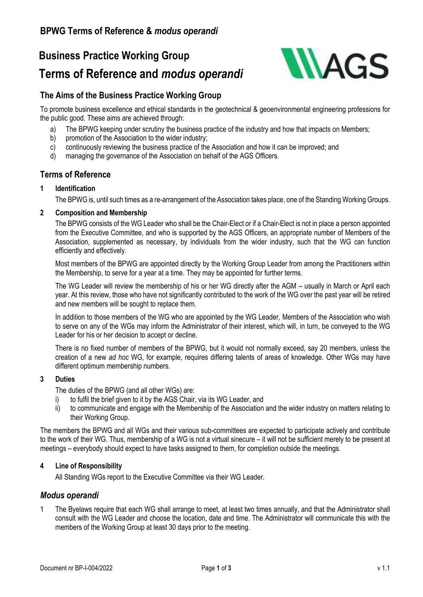# **Business Practice Working Group**

## **Terms of Reference and** *modus operandi*



### **The Aims of the Business Practice Working Group**

To promote business excellence and ethical standards in the geotechnical & geoenvironmental engineering professions for the public good. These aims are achieved through:

- a) The BPWG keeping under scrutiny the business practice of the industry and how that impacts on Members;
- b) promotion of the Association to the wider industry;
- c) continuously reviewing the business practice of the Association and how it can be improved; and
- d) managing the governance of the Association on behalf of the AGS Officers.

### **Terms of Reference**

### **1 Identification**

The BPWG is, until such times as a re-arrangement of the Association takes place, one of the Standing Working Groups.

### **2 Composition and Membership**

The BPWG consists of the WG Leader who shall be the Chair-Elect or if a Chair-Elect is not in place a person appointed from the Executive Committee, and who is supported by the AGS Officers, an appropriate number of Members of the Association, supplemented as necessary, by individuals from the wider industry, such that the WG can function efficiently and effectively.

Most members of the BPWG are appointed directly by the Working Group Leader from among the Practitioners within the Membership, to serve for a year at a time. They may be appointed for further terms.

The WG Leader will review the membership of his or her WG directly after the AGM – usually in March or April each year. At this review, those who have not significantly contributed to the work of the WG over the past year will be retired and new members will be sought to replace them.

In addition to those members of the WG who are appointed by the WG Leader, Members of the Association who wish to serve on any of the WGs may inform the Administrator of their interest, which will, in turn, be conveyed to the WG Leader for his or her decision to accept or decline.

There is no fixed number of members of the BPWG, but it would not normally exceed, say 20 members, unless the creation of a new *ad hoc* WG, for example, requires differing talents of areas of knowledge. Other WGs may have different optimum membership numbers.

### **3 Duties**

The duties of the BPWG (and all other WGs) are:

- i) to fulfil the brief given to it by the AGS Chair, via its WG Leader, and
- ii) to communicate and engage with the Membership of the Association and the wider industry on matters relating to their Working Group.

The members the BPWG and all WGs and their various sub-committees are expected to participate actively and contribute to the work of their WG. Thus, membership of a WG is not a virtual sinecure – it will not be sufficient merely to be present at meetings – everybody should expect to have tasks assigned to them, for completion outside the meetings.

### **4 Line of Responsibility**

All Standing WGs report to the Executive Committee via their WG Leader.

### *Modus operandi*

1 The Byelaws require that each WG shall arrange to meet, at least two times annually, and that the Administrator shall consult with the WG Leader and choose the location, date and time. The Administrator will communicate this with the members of the Working Group at least 30 days prior to the meeting.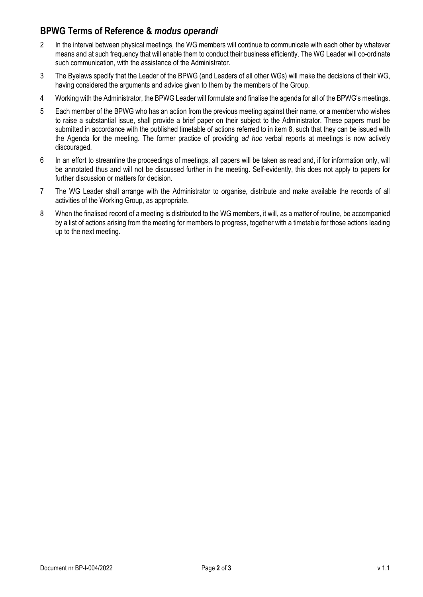### **BPWG Terms of Reference &** *modus operandi*

- 2 In the interval between physical meetings, the WG members will continue to communicate with each other by whatever means and at such frequency that will enable them to conduct their business efficiently. The WG Leader will co-ordinate such communication, with the assistance of the Administrator.
- 3 The Byelaws specify that the Leader of the BPWG (and Leaders of all other WGs) will make the decisions of their WG, having considered the arguments and advice given to them by the members of the Group.
- 4 Working with the Administrator, the BPWG Leader will formulate and finalise the agenda for all of the BPWG's meetings.
- 5 Each member of the BPWG who has an action from the previous meeting against their name, or a member who wishes to raise a substantial issue, shall provide a brief paper on their subject to the Administrator. These papers must be submitted in accordance with the published timetable of actions referred to in item 8, such that they can be issued with the Agenda for the meeting. The former practice of providing *ad hoc* verbal reports at meetings is now actively discouraged.
- 6 In an effort to streamline the proceedings of meetings, all papers will be taken as read and, if for information only, will be annotated thus and will not be discussed further in the meeting. Self-evidently, this does not apply to papers for further discussion or matters for decision.
- 7 The WG Leader shall arrange with the Administrator to organise, distribute and make available the records of all activities of the Working Group, as appropriate.
- 8 When the finalised record of a meeting is distributed to the WG members, it will, as a matter of routine, be accompanied by a list of actions arising from the meeting for members to progress, together with a timetable for those actions leading up to the next meeting.